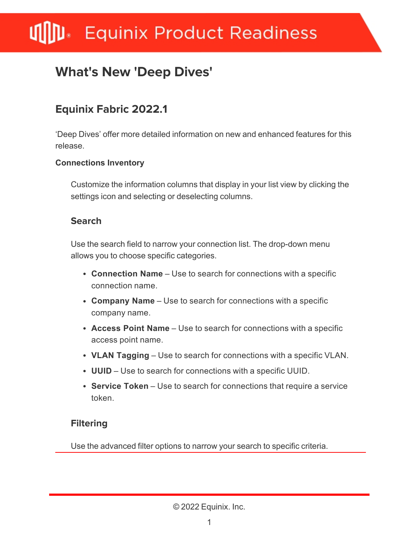# **Equinix Product Readiness**

## **What's New 'Deep Dives'**

### **Equinix Fabric 2022.1**

'Deep Dives' offer more detailed information on new and enhanced features for this release.

#### **Connections Inventory**

Customize the information columns that display in your list view by clicking the settings icon and selecting or deselecting columns.

#### **Search**

Use the search field to narrow your connection list. The drop-down menu allows you to choose specific categories.

- **Connection Name** Use to search for connections with a specific connection name.
- **Company Name** Use to search for connections with a specific company name.
- **Access Point Name** Use to search for connections with a specific access point name.
- **VLAN Tagging** Use to search for connections with a specific VLAN.
- **UUID** Use to search for connections with a specific UUID.
- **Service Token** Use to search for connections that require a service token.

#### **Filtering**

Use the advanced filter options to narrow your search to specific criteria.

© 2022 Equinix. Inc.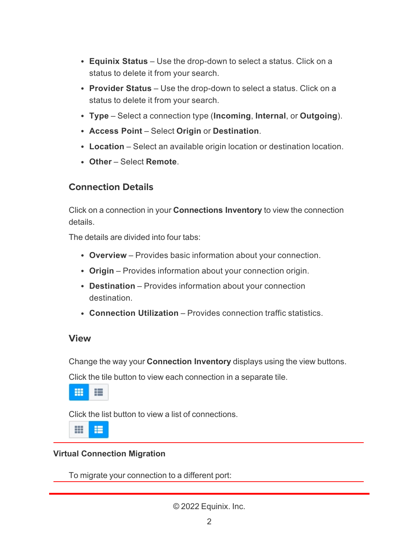- **Equinix Status** Use the drop-down to select a status. Click on a status to delete it from your search.
- **Provider Status** Use the drop-down to select a status. Click on a status to delete it from your search.
- <sup>l</sup> **Type** Select a connection type (**Incoming**, **Internal**, or **Outgoing**).
- <sup>l</sup> **Access Point** Select **Origin** or **Destination**.
- **Location** Select an available origin location or destination location.
- <sup>l</sup> **Other** Select **Remote**.

#### **Connection Details**

Click on a connection in your **Connections Inventory** to view the connection details.

The details are divided into four tabs:

- **Overview** Provides basic information about your connection.
- **Origin** Provides information about your connection origin.
- **Destination** Provides information about your connection destination.
- **Connection Utilization** Provides connection traffic statistics.

#### **View**

Change the way your **Connection Inventory** displays using the view buttons.

Click the tile button to view each connection in a separate tile.

噩 主

Click the list button to view a list of connections.

₩ 疆

#### **Virtual Connection Migration**

To migrate your connection to a different port:

© 2022 Equinix. Inc.